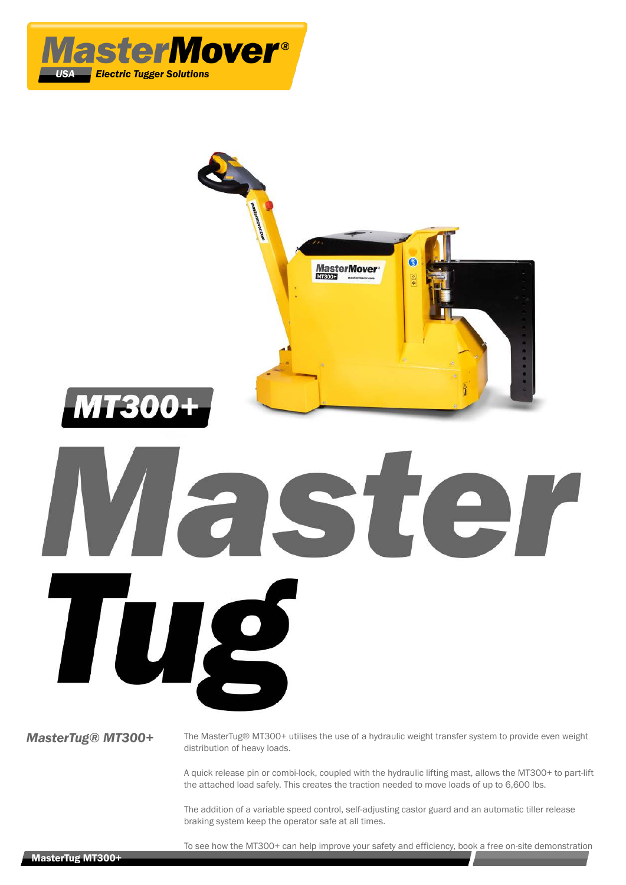



distribution of heavy loads.

A quick release pin or combi-lock, coupled with the hydraulic lifting mast, allows the MT300+ to part-lift the attached load safely. This creates the traction needed to move loads of up to 6,600 lbs.

The addition of a variable speed control, self-adjusting castor guard and an automatic tiller release braking system keep the operator safe at all times.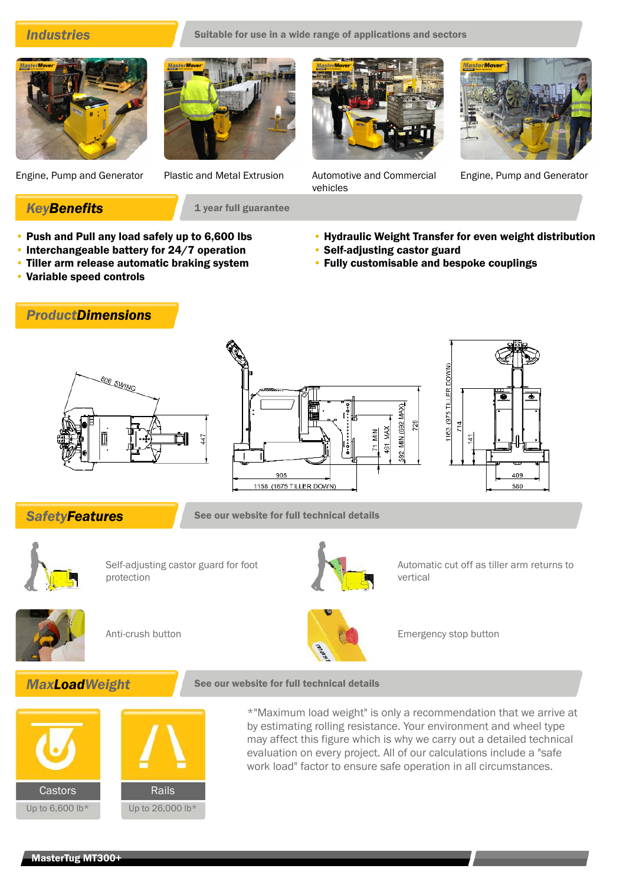**Industries** Suitable for use in a wide range of applications and sectors

vehicles





Engine, Pump and Generator Plastic and Metal Extrusion Automotive and Commercial

**KeyBenefits** 1 year full guarantee

- Push and Pull any load safely up to 6,600 lbs
- Interchangeable battery for 24/7 operation
- Tiller arm release automatic braking system
- Variable speed controls

*ProductDimensions*



Engine, Pump and Generator

- Hydraulic Weight Transfer for even weight distribution
- Self-adjusting castor guard
- Fully customisable and bespoke couplings







**SafetyFeatures** See our website for full technical details



Self-adjusting castor guard for foot protection



Automatic cut off as tiller arm returns to vertical





Anti-crush button **Emergency stop button** Emergency stop button





\*"Maximum load weight" is only a recommendation that we arrive at by estimating rolling resistance. Your environment and wheel type may affect this figure which is why we carry out a detailed technical evaluation on every project. All of our calculations include a "safe work load" factor to ensure safe operation in all circumstances.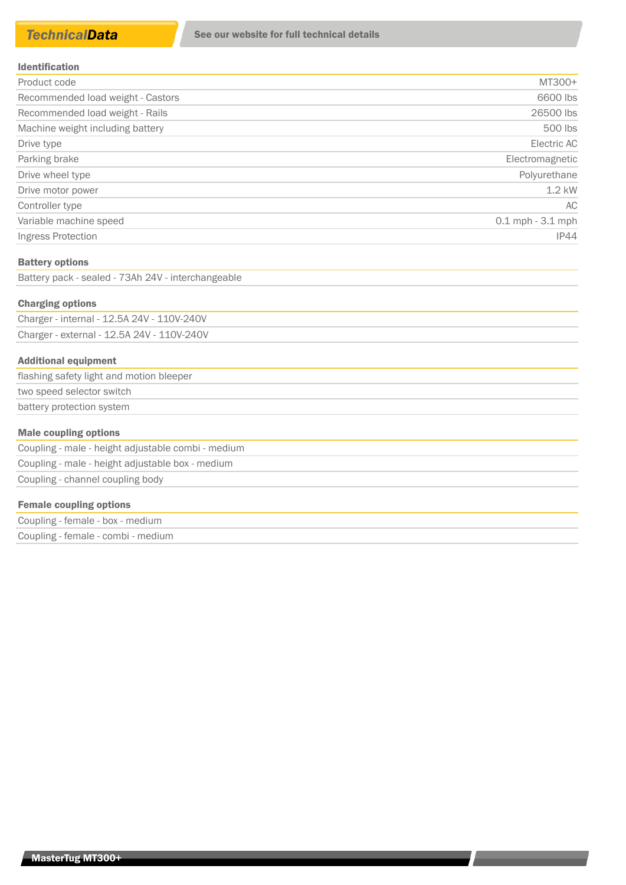| Product code                      | MT300+               |
|-----------------------------------|----------------------|
| Recommended load weight - Castors | 6600 lbs             |
| Recommended load weight - Rails   | 26500 lbs            |
| Machine weight including battery  | 500 lbs              |
| Drive type                        | Electric AC          |
| Parking brake                     | Electromagnetic      |
| Drive wheel type                  | Polyurethane         |
| Drive motor power                 | $1.2$ kW             |
| Controller type                   | AC                   |
| Variable machine speed            | $0.1$ mph $-3.1$ mph |
| Ingress Protection                | <b>IP44</b>          |

### Battery options

Battery pack - sealed - 73Ah 24V - interchangeable

### Charging options

Charger - internal - 12.5A 24V - 110V-240V Charger - external - 12.5A 24V - 110V-240V

### Additional equipment

| flashing safety light and motion bleeper |  |
|------------------------------------------|--|
| two speed selector switch                |  |
| battery protection system                |  |
|                                          |  |

## Male coupling options

Coupling - male - height adjustable combi - medium Coupling - male - height adjustable box - medium Coupling - channel coupling body

## Female coupling options

Coupling - female - box - medium Coupling - female - combi - medium